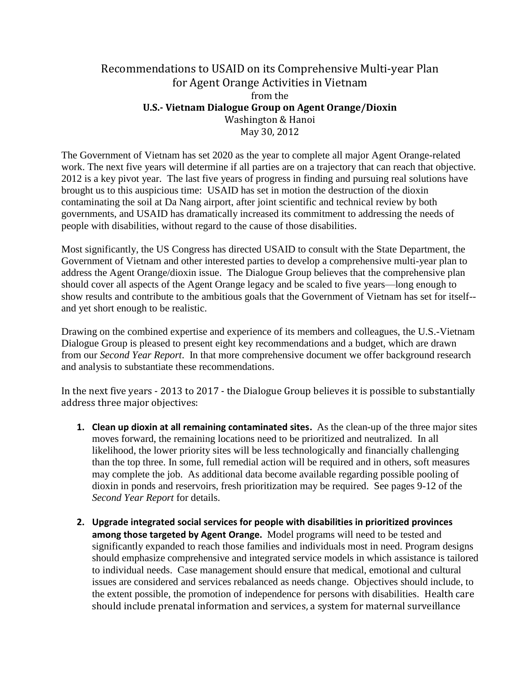## Recommendations to USAID on its Comprehensive Multi-year Plan for Agent Orange Activities in Vietnam from the **U.S.- Vietnam Dialogue Group on Agent Orange/Dioxin** Washington & Hanoi May 30, 2012

The Government of Vietnam has set 2020 as the year to complete all major Agent Orange-related work. The next five years will determine if all parties are on a trajectory that can reach that objective. 2012 is a key pivot year. The last five years of progress in finding and pursuing real solutions have brought us to this auspicious time: USAID has set in motion the destruction of the dioxin contaminating the soil at Da Nang airport, after joint scientific and technical review by both governments, and USAID has dramatically increased its commitment to addressing the needs of people with disabilities, without regard to the cause of those disabilities.

Most significantly, the US Congress has directed USAID to consult with the State Department, the Government of Vietnam and other interested parties to develop a comprehensive multi-year plan to address the Agent Orange/dioxin issue. The Dialogue Group believes that the comprehensive plan should cover all aspects of the Agent Orange legacy and be scaled to five years—long enough to show results and contribute to the ambitious goals that the Government of Vietnam has set for itself- and yet short enough to be realistic.

Drawing on the combined expertise and experience of its members and colleagues, the U.S.-Vietnam Dialogue Group is pleased to present eight key recommendations and a budget, which are drawn from our *Second Year Report*. In that more comprehensive document we offer background research and analysis to substantiate these recommendations.

In the next five years - 2013 to 2017 - the Dialogue Group believes it is possible to substantially address three major objectives:

- **1. Clean up dioxin at all remaining contaminated sites.** As the clean-up of the three major sites moves forward, the remaining locations need to be prioritized and neutralized. In all likelihood, the lower priority sites will be less technologically and financially challenging than the top three. In some, full remedial action will be required and in others, soft measures may complete the job. As additional data become available regarding possible pooling of dioxin in ponds and reservoirs, fresh prioritization may be required. See pages 9-12 of the *Second Year Report* for details.
- **2. Upgrade integrated social services for people with disabilities in prioritized provinces among those targeted by Agent Orange.** Model programs will need to be tested and significantly expanded to reach those families and individuals most in need. Program designs should emphasize comprehensive and integrated service models in which assistance is tailored to individual needs. Case management should ensure that medical, emotional and cultural issues are considered and services rebalanced as needs change. Objectives should include, to the extent possible, the promotion of independence for persons with disabilities. Health care should include prenatal information and services, a system for maternal surveillance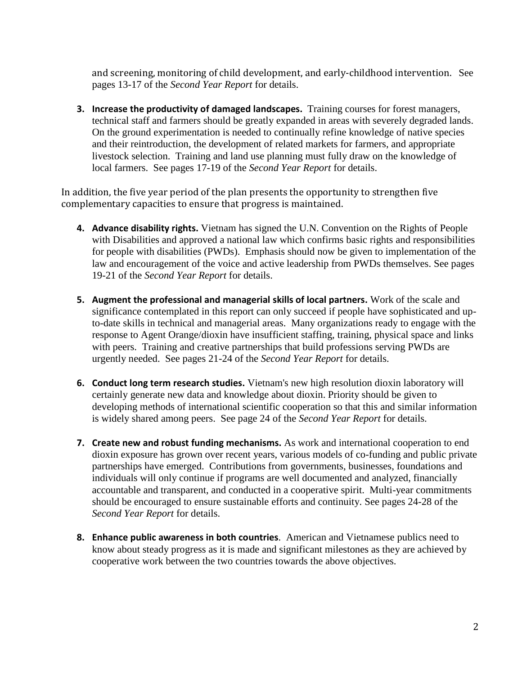and screening, monitoring of child development, and early-childhood intervention. See pages 13-17 of the *Second Year Report* for details.

**3. Increase the productivity of damaged landscapes.** Training courses for forest managers, technical staff and farmers should be greatly expanded in areas with severely degraded lands. On the ground experimentation is needed to continually refine knowledge of native species and their reintroduction, the development of related markets for farmers, and appropriate livestock selection. Training and land use planning must fully draw on the knowledge of local farmers. See pages 17-19 of the *Second Year Report* for details.

In addition, the five year period of the plan presents the opportunity to strengthen five complementary capacities to ensure that progress is maintained.

- **4. Advance disability rights.** Vietnam has signed the U.N. Convention on the Rights of People with Disabilities and approved a national law which confirms basic rights and responsibilities for people with disabilities (PWDs). Emphasis should now be given to implementation of the law and encouragement of the voice and active leadership from PWDs themselves. See pages 19-21 of the *Second Year Report* for details.
- **5. Augment the professional and managerial skills of local partners.** Work of the scale and significance contemplated in this report can only succeed if people have sophisticated and upto-date skills in technical and managerial areas. Many organizations ready to engage with the response to Agent Orange/dioxin have insufficient staffing, training, physical space and links with peers. Training and creative partnerships that build professions serving PWDs are urgently needed. See pages 21-24 of the *Second Year Report* for details.
- **6. Conduct long term research studies.** Vietnam's new high resolution dioxin laboratory will certainly generate new data and knowledge about dioxin. Priority should be given to developing methods of international scientific cooperation so that this and similar information is widely shared among peers. See page 24 of the *Second Year Report* for details.
- **7. Create new and robust funding mechanisms.** As work and international cooperation to end dioxin exposure has grown over recent years, various models of co-funding and public private partnerships have emerged. Contributions from governments, businesses, foundations and individuals will only continue if programs are well documented and analyzed, financially accountable and transparent, and conducted in a cooperative spirit. Multi-year commitments should be encouraged to ensure sustainable efforts and continuity. See pages 24-28 of the *Second Year Report* for details.
- **8. Enhance public awareness in both countries**. American and Vietnamese publics need to know about steady progress as it is made and significant milestones as they are achieved by cooperative work between the two countries towards the above objectives.